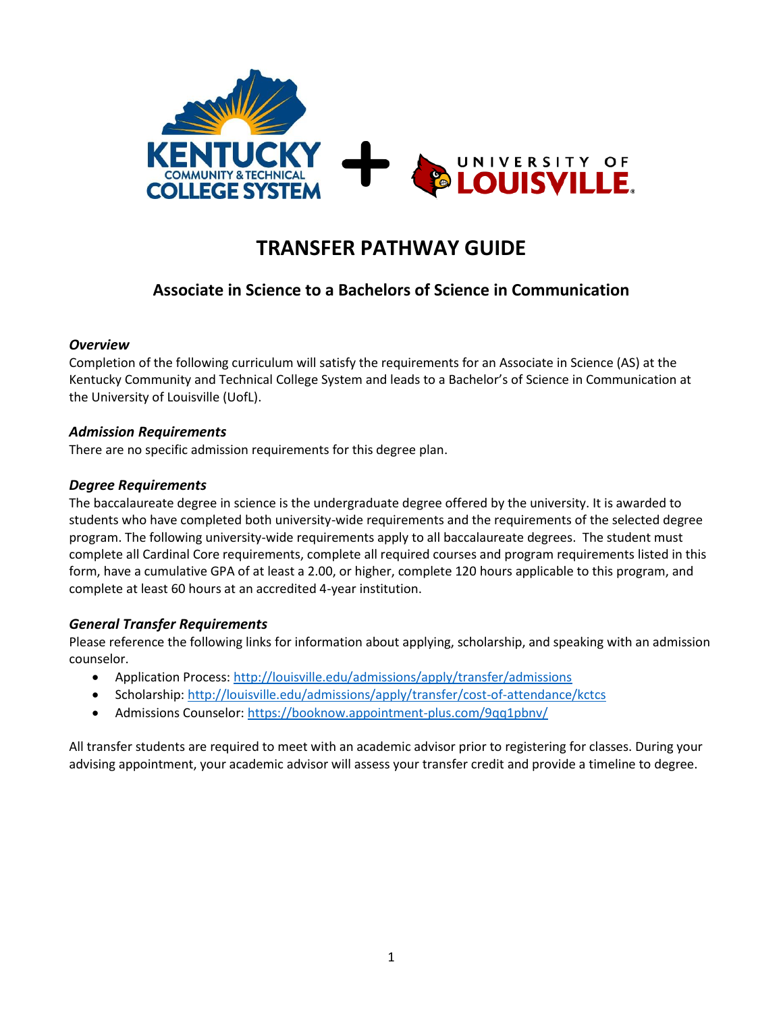

# **TRANSFER PATHWAY GUIDE**

## **Associate in Science to a Bachelors of Science in Communication**

#### *Overview*

Completion of the following curriculum will satisfy the requirements for an Associate in Science (AS) at the Kentucky Community and Technical College System and leads to a Bachelor's of Science in Communication at the University of Louisville (UofL).

#### *Admission Requirements*

There are no specific admission requirements for this degree plan.

#### *Degree Requirements*

The baccalaureate degree in science is the undergraduate degree offered by the university. It is awarded to students who have completed both university-wide requirements and the requirements of the selected degree program. The following university-wide requirements apply to all baccalaureate degrees. The student must complete all Cardinal Core requirements, complete all required courses and program requirements listed in this form, have a cumulative GPA of at least a 2.00, or higher, complete 120 hours applicable to this program, and complete at least 60 hours at an accredited 4-year institution.

#### *General Transfer Requirements*

Please reference the following links for information about applying, scholarship, and speaking with an admission counselor.

- Application Process[: http://louisville.edu/admissions/apply/transfer/admissions](http://louisville.edu/admissions/apply/transfer/admissions)
- Scholarship[: http://louisville.edu/admissions/apply/transfer/cost-of-attendance/kctcs](http://louisville.edu/admissions/apply/transfer/cost-of-attendance/kctcs)
- Admissions Counselor[: https://booknow.appointment-plus.com/9qq1pbnv/](https://booknow.appointment-plus.com/9qq1pbnv/)

All transfer students are required to meet with an academic advisor prior to registering for classes. During your advising appointment, your academic advisor will assess your transfer credit and provide a timeline to degree.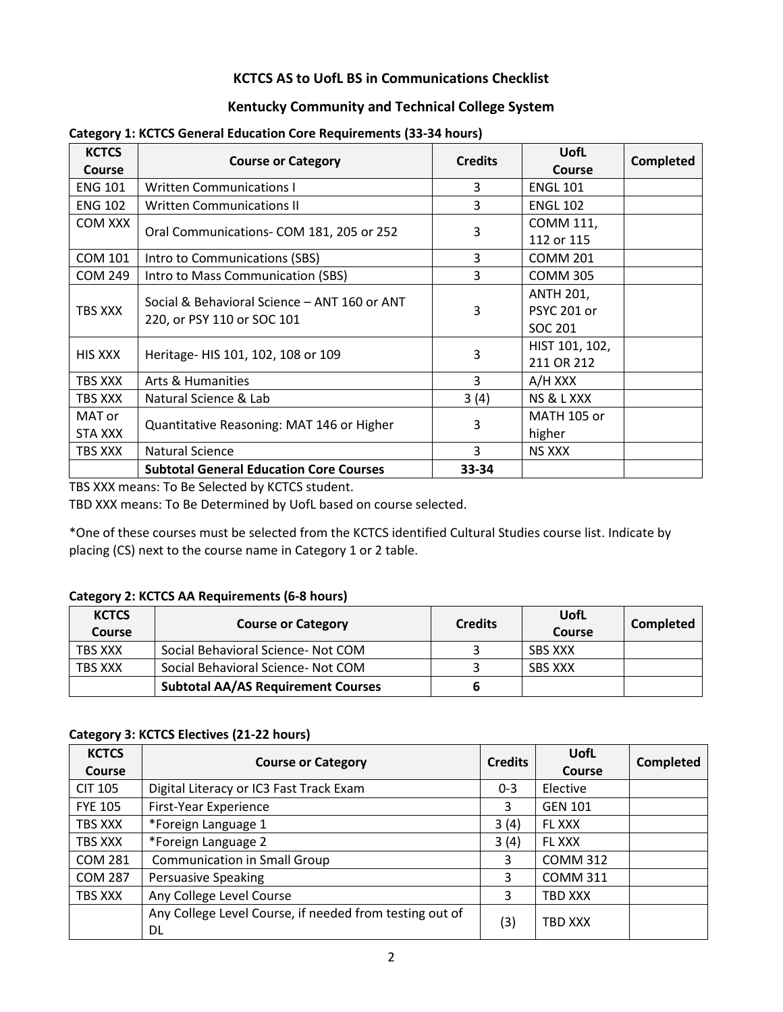## **KCTCS AS to UofL BS in Communications Checklist**

## **Kentucky Community and Technical College System**

| <b>KCTCS</b><br>Course | <b>Course or Category</b>                      | <b>Credits</b> | <b>UofL</b><br><b>Course</b> | <b>Completed</b> |
|------------------------|------------------------------------------------|----------------|------------------------------|------------------|
| <b>ENG 101</b>         | <b>Written Communications I</b>                | 3              | <b>ENGL 101</b>              |                  |
| <b>ENG 102</b>         | <b>Written Communications II</b>               | 3              | <b>ENGL 102</b>              |                  |
| COM XXX                | Oral Communications- COM 181, 205 or 252       |                | COMM 111,                    |                  |
|                        |                                                | 3              | 112 or 115                   |                  |
| <b>COM 101</b>         | Intro to Communications (SBS)                  | 3              | <b>COMM 201</b>              |                  |
| <b>COM 249</b>         | Intro to Mass Communication (SBS)              | 3              | <b>COMM 305</b>              |                  |
|                        | Social & Behavioral Science - ANT 160 or ANT   |                | <b>ANTH 201,</b>             |                  |
| <b>TBS XXX</b>         | 220, or PSY 110 or SOC 101                     | 3              | <b>PSYC 201 or</b>           |                  |
|                        |                                                |                | SOC 201                      |                  |
| <b>HIS XXX</b>         | Heritage- HIS 101, 102, 108 or 109             | 3              | HIST 101, 102,               |                  |
|                        |                                                |                | 211 OR 212                   |                  |
| TBS XXX                | Arts & Humanities                              | 3              | A/H XXX                      |                  |
| TBS XXX                | Natural Science & Lab                          | 3(4)           | NS & L XXX                   |                  |
| MAT or                 |                                                | 3              | <b>MATH 105 or</b>           |                  |
| STA XXX                | Quantitative Reasoning: MAT 146 or Higher      |                | higher                       |                  |
| TBS XXX                | <b>Natural Science</b>                         | 3              | <b>NS XXX</b>                |                  |
|                        | <b>Subtotal General Education Core Courses</b> | 33-34          |                              |                  |

#### **Category 1: KCTCS General Education Core Requirements (33-34 hours)**

TBS XXX means: To Be Selected by KCTCS student.

TBD XXX means: To Be Determined by UofL based on course selected.

\*One of these courses must be selected from the KCTCS identified Cultural Studies course list. Indicate by placing (CS) next to the course name in Category 1 or 2 table.

#### **Category 2: KCTCS AA Requirements (6-8 hours)**

| <b>KCTCS</b><br>Course | <b>Course or Category</b>                 | <b>Credits</b> | UofL<br>Course | Completed |
|------------------------|-------------------------------------------|----------------|----------------|-----------|
| TBS XXX                | Social Behavioral Science- Not COM        |                | SBS XXX        |           |
| <b>TBS XXX</b>         | Social Behavioral Science- Not COM        |                | <b>SBS XXX</b> |           |
|                        | <b>Subtotal AA/AS Requirement Courses</b> |                |                |           |

#### **Category 3: KCTCS Electives (21-22 hours)**

| <b>KCTCS</b><br>Course | <b>Course or Category</b>                                     | <b>Credits</b> | <b>UofL</b><br><b>Course</b> | Completed |
|------------------------|---------------------------------------------------------------|----------------|------------------------------|-----------|
| <b>CIT 105</b>         | Digital Literacy or IC3 Fast Track Exam                       | $0 - 3$        | Elective                     |           |
| <b>FYE 105</b>         | First-Year Experience                                         | 3              | <b>GEN 101</b>               |           |
| TBS XXX                | *Foreign Language 1                                           | 3(4)           | <b>FL XXX</b>                |           |
| TBS XXX                | *Foreign Language 2                                           | 3(4)           | FL XXX                       |           |
| <b>COM 281</b>         | <b>Communication in Small Group</b>                           | 3              | <b>COMM 312</b>              |           |
| <b>COM 287</b>         | <b>Persuasive Speaking</b>                                    | 3              | <b>COMM 311</b>              |           |
| TBS XXX                | Any College Level Course                                      | 3              | TBD XXX                      |           |
|                        | Any College Level Course, if needed from testing out of<br>DL | (3)            | TBD XXX                      |           |